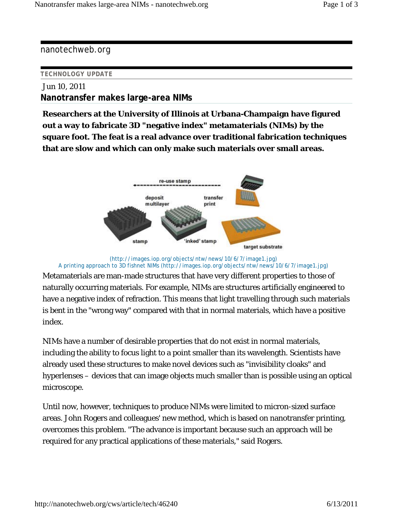nanotechweb.org

## **TECHNOLOGY UPDATE**

## Jun 10, 2011 **Nanotransfer makes large-area NIMs**

**Researchers at the University of Illinois at Urbana-Champaign have figured out a way to fabricate 3D "negative index" metamaterials (NIMs) by the square foot. The feat is a real advance over traditional fabrication techniques that are slow and which can only make such materials over small areas.**



## (http://images.iop.org/objects/ntw/news/10/6/7/image1.jpg) A printing approach to 3D fishnet NIMs (http://images.iop.org/objects/ntw/news/10/6/7/image1.jpg)

Metamaterials are man-made structures that have very different properties to those of naturally occurring materials. For example, NIMs are structures artificially engineered to have a negative index of refraction. This means that light travelling through such materials is bent in the "wrong way" compared with that in normal materials, which have a positive index.

NIMs have a number of desirable properties that do not exist in normal materials, including the ability to focus light to a point smaller than its wavelength. Scientists have already used these structures to make novel devices such as "invisibility cloaks" and hyperlenses – devices that can image objects much smaller than is possible using an optical microscope.

Until now, however, techniques to produce NIMs were limited to micron-sized surface areas. John Rogers and colleagues' new method, which is based on nanotransfer printing, overcomes this problem. "The advance is important because such an approach will be required for any practical applications of these materials," said Rogers.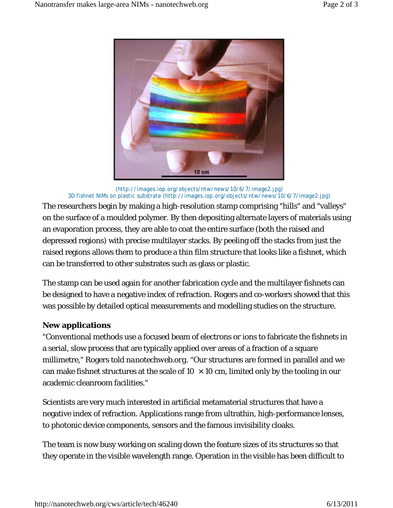

(http://images.iop.org/objects/ntw/news/10/6/7/image2.jpg) 3D fishnet NIMs on plastic substrate (http://images.iop.org/objects/ntw/news/10/6/7/image2.jpg)

The researchers begin by making a high-resolution stamp comprising "hills" and "valleys" on the surface of a moulded polymer. By then depositing alternate layers of materials using an evaporation process, they are able to coat the entire surface (both the raised and depressed regions) with precise multilayer stacks. By peeling off the stacks from just the raised regions allows them to produce a thin film structure that looks like a fishnet, which can be transferred to other substrates such as glass or plastic.

The stamp can be used again for another fabrication cycle and the multilayer fishnets can be designed to have a negative index of refraction. Rogers and co-workers showed that this was possible by detailed optical measurements and modelling studies on the structure.

## **New applications**

"Conventional methods use a focused beam of electrons or ions to fabricate the fishnets in a serial, slow process that are typically applied over areas of a fraction of a square millimetre," Rogers told *nanotechweb.org*. "Our structures are formed in parallel and we can make fishnet structures at the scale of  $10 \times 10$  cm, limited only by the tooling in our academic cleanroom facilities."

Scientists are very much interested in artificial metamaterial structures that have a negative index of refraction. Applications range from ultrathin, high-performance lenses, to photonic device components, sensors and the famous invisibility cloaks.

The team is now busy working on scaling down the feature sizes of its structures so that they operate in the visible wavelength range. Operation in the visible has been difficult to